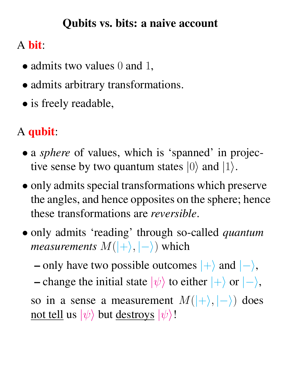### Qubits vs. bits: a naive account

# A bit:

- admits two values 0 and 1,
- admits arbitrary transformations.
- is freely readable,

# A qubit:

- a *sphere* of values, which is 'spanned' in projective sense by two quantum states  $|0\rangle$  and  $|1\rangle$ .
- only admits special transformations which preserve the angles, and hence opposites on the sphere; hence these transformations are *reversible*.
- only admits 'reading' through so-called *quantum measurements*  $M(|+\rangle, |-\rangle)$  which

– only have two possible outcomes  $|+\rangle$  and  $|-\rangle$ , – change the initial state  $|\psi\rangle$  to either  $|+\rangle$  or  $|-\rangle$ , so in a sense a measurement  $M(|+\rangle, |-\rangle)$  does <u>not tell</u> us  $|\psi\rangle$  but <u>destroys</u>  $|\psi\rangle$ !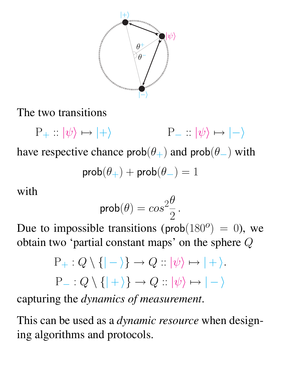

The two transitions

 $P_+ : \ket{\psi} \mapsto \ket{+} \qquad P_- : \ket{\psi} \mapsto \ket{-}$ 

have respective chance  $prob(\theta_+)$  and  $prob(\theta_-)$  with

$$
prob(\theta_+) + prob(\theta_-) = 1
$$

with

$$
\mathsf{prob}(\theta) = \cos^2\!\frac{\theta}{2}.
$$

Due to impossible transitions (prob $(180^o) = 0$ ), we obtain two 'partial constant maps' on the sphere Q

$$
P_{+}: Q \setminus \{ |- \rangle \} \to Q :: |\psi\rangle \mapsto | + \rangle.
$$
  

$$
P_{-}: Q \setminus \{ | + \rangle \} \to Q :: |\psi\rangle \mapsto | - \rangle
$$

capturing the *dynamics of measurement*.

This can be used as a *dynamic resource* when designing algorithms and protocols.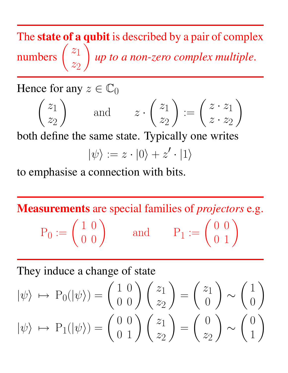The state of a qubit is described by a pair of complex numbers  $\begin{pmatrix} z_1 \\ z_2 \end{pmatrix}$  $z_2$  $\setminus$ *up to a non-zero complex multiple*.

Hence for any  $z \in \mathbb{C}_0$ 

$$
\begin{pmatrix} z_1 \\ z_2 \end{pmatrix} \quad \text{and} \quad z \cdot \begin{pmatrix} z_1 \\ z_2 \end{pmatrix} := \begin{pmatrix} z \cdot z_1 \\ z \cdot z_2 \end{pmatrix}
$$

both define the same state. Typically one writes

$$
|\psi\rangle:=z\cdot|0\rangle+z'\cdot|1\rangle
$$

to emphasise a connection with bits.

Measurements are special families of *projectors* e.g.  $P_0 := \left(\begin{array}{cc} 1 & 0 \\ 0 & 0 \end{array}\right)$ and  $P_1 := \begin{pmatrix} 0 & 0 \\ 0 & 1 \end{pmatrix}$ 

They induce a change of state

$$
|\psi\rangle \mapsto P_0(|\psi\rangle) = \begin{pmatrix} 1 & 0 \\ 0 & 0 \end{pmatrix} \begin{pmatrix} z_1 \\ z_2 \end{pmatrix} = \begin{pmatrix} z_1 \\ 0 \end{pmatrix} \sim \begin{pmatrix} 1 \\ 0 \end{pmatrix}
$$

$$
|\psi\rangle \mapsto P_1(|\psi\rangle) = \begin{pmatrix} 0 & 0 \\ 0 & 1 \end{pmatrix} \begin{pmatrix} z_1 \\ z_2 \end{pmatrix} = \begin{pmatrix} 0 \\ z_2 \end{pmatrix} \sim \begin{pmatrix} 0 \\ 1 \end{pmatrix}
$$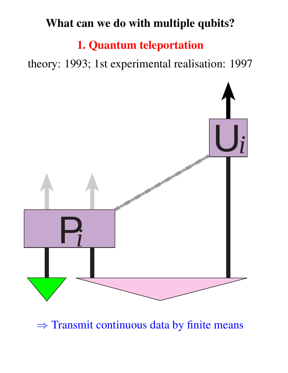# What can we do with multiple qubits?

### 1. Quantum teleportation

theory: 1993; 1st experimental realisation: 1997



⇒ Transmit continuous data by finite means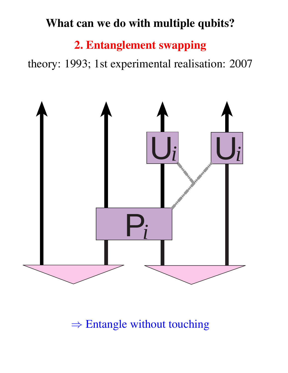## What can we do with multiple qubits?

# 2. Entanglement swapping

theory: 1993; 1st experimental realisation: 2007



### $\Rightarrow$  Entangle without touching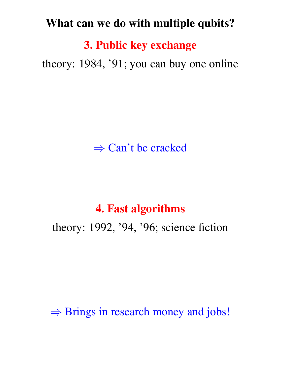#### What can we do with multiple qubits?

3. Public key exchange

theory: 1984, '91; you can buy one online

 $\Rightarrow$  Can't be cracked

#### 4. Fast algorithms

theory: 1992, '94, '96; science fiction

 $\Rightarrow$  Brings in research money and jobs!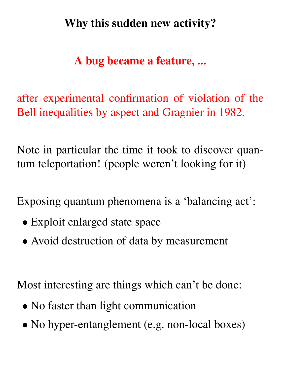# Why this sudden new activity?

# A bug became a feature, ...

after experimental confirmation of violation of the Bell inequalities by aspect and Gragnier in 1982.

Note in particular the time it took to discover quantum teleportation! (people weren't looking for it)

Exposing quantum phenomena is a 'balancing act':

- Exploit enlarged state space
- Avoid destruction of data by measurement

Most interesting are things which can't be done:

- No faster than light communication
- No hyper-entanglement (e.g. non-local boxes)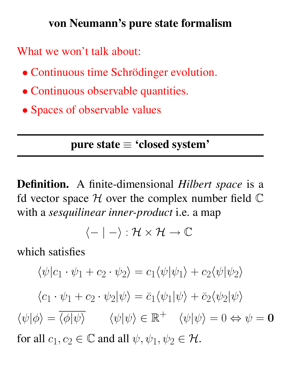### von Neumann's pure state formalism

What we won't talk about:

- Continuous time Schrödinger evolution.
- Continuous observable quantities.
- Spaces of observable values

# pure state ≡ 'closed system'

Definition. A finite-dimensional *Hilbert space* is a fd vector space  $H$  over the complex number field  $\mathbb C$ with a *sesquilinear inner-product* i.e. a map

$$
\langle - \mid - \rangle : \mathcal{H} \times \mathcal{H} \to \mathbb{C}
$$

which satisfies

$$
\langle \psi | c_1 \cdot \psi_1 + c_2 \cdot \psi_2 \rangle = c_1 \langle \psi | \psi_1 \rangle + c_2 \langle \psi | \psi_2 \rangle
$$
  

$$
\langle c_1 \cdot \psi_1 + c_2 \cdot \psi_2 | \psi \rangle = \overline{c}_1 \langle \psi_1 | \psi \rangle + \overline{c}_2 \langle \psi_2 | \psi \rangle
$$
  

$$
\langle \psi | \phi \rangle = \overline{\langle \phi | \psi \rangle} \qquad \langle \psi | \psi \rangle \in \mathbb{R}^+ \qquad \langle \psi | \psi \rangle = 0 \Leftrightarrow \psi = \mathbf{0}
$$
  
for all  $c_1, c_2 \in \mathbb{C}$  and all  $\psi, \psi_1, \psi_2 \in \mathcal{H}$ .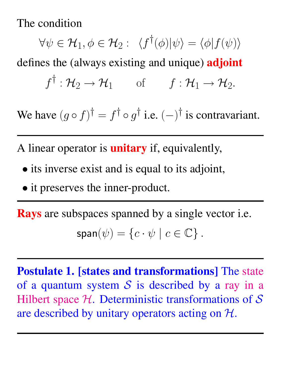The condition

 $\forall \psi \in \mathcal{H}_{1}, \phi \in \mathcal{H}_{2}: \;\;\langle f^{\dagger}(\phi)|\psi\rangle = \langle \phi|f(\psi)\rangle$ defines the (always existing and unique) **adjoint**  $f^{\dagger}: \mathcal{H}_2 \to \mathcal{H}_1$  of  $f: \mathcal{H}_1 \to \mathcal{H}_2$ .

We have  $(g \circ f)^\dagger = f^\dagger \circ g^\dagger$  i.e.  $(-)^\dagger$  is contravariant.

A linear operator is **unitary** if, equivalently,

- its inverse exist and is equal to its adjoint,
- it preserves the inner-product.

Rays are subspaces spanned by a single vector i.e.  $span(\psi) = \{c \cdot \psi \mid c \in \mathbb{C}\}.$ 

Postulate 1. [states and transformations] The state of a quantum system  $S$  is described by a ray in a Hilbert space  $H$ . Deterministic transformations of  $S$ are described by unitary operators acting on  $H$ .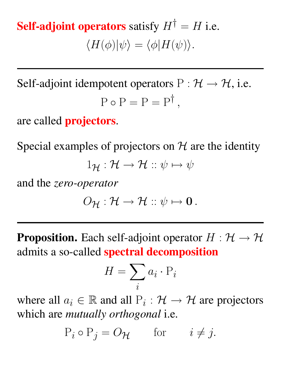**Self-adjoint operators** satisfy  $H^{\dagger} = H$  i.e.  $\langle H(\phi)|\psi\rangle = \langle \phi|H(\psi)\rangle.$ 

Self-adjoint idempotent operators  $P : \mathcal{H} \to \mathcal{H}$ , i.e.  $P \circ P = P = P^{\dagger}$ ,

are called **projectors**.

Special examples of projectors on  $H$  are the identity

 $1_H : \mathcal{H} \to \mathcal{H} :: \psi \mapsto \psi$ 

and the *zero-operator*

$$
O_{\mathcal{H}}: \mathcal{H} \to \mathcal{H} :: \psi \mapsto \mathbf{0} \, .
$$

**Proposition.** Each self-adjoint operator  $H : \mathcal{H} \rightarrow \mathcal{H}$ admits a so-called **spectral decomposition** 

$$
H = \sum_{i} a_i \cdot \mathbf{P}_i
$$

where all  $a_i \in \mathbb{R}$  and all  $P_i : \mathcal{H} \to \mathcal{H}$  are projectors which are *mutually orthogonal* i.e.

 $P_i \circ P_j = O_{\mathcal{H}}$  for  $i \neq j$ .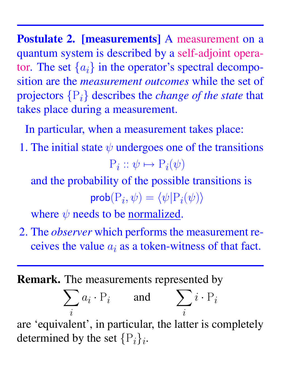Postulate 2. [measurements] A measurement on a quantum system is described by a self-adjoint operator. The set  $\{a_i\}$  in the operator's spectral decomposition are the *measurement outcomes* while the set of projectors {Pi} describes the *change of the state* that takes place during a measurement.

In particular, when a measurement takes place:

1. The initial state  $\psi$  undergoes one of the transitions

$$
P_i :: \psi \mapsto P_i(\psi)
$$

and the probability of the possible transitions is  $\mathsf{prob}(\mathrm{P}_i, \psi) = \langle \psi | \mathrm{P}_i(\psi) \rangle$ 

where  $\psi$  needs to be normalized.

2. The *observer* which performs the measurement receives the value  $a_i$  as a token-witness of that fact.

#### Remark. The measurements represented by

$$
\sum_i a_i \cdot P_i \qquad \text{and} \qquad \sum_i i \cdot P_i
$$

are 'equivalent', in particular, the latter is completely determined by the set  $\{P_i\}_i$ .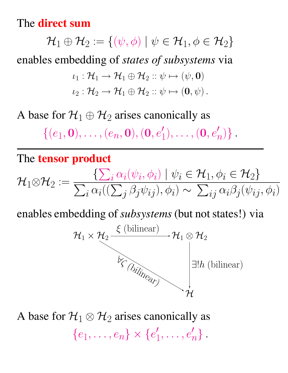The **direct sum** 

 $\mathcal{H}_1\oplus\mathcal{H}_2:=\{(\psi,\phi)\mid \psi\in\mathcal{H}_1,\phi\in\mathcal{H}_2\}$ enables embedding of *states of subsystems* via  $\iota_1 : \mathcal{H}_1 \to \mathcal{H}_1 \oplus \mathcal{H}_2 :: \psi \mapsto (\psi, \mathbf{0})$ 

$$
\iota_2: \mathcal{H}_2 \to \mathcal{H}_1 \oplus \mathcal{H}_2 :: \psi \mapsto (\mathbf{0}, \psi) .
$$

A base for  $\mathcal{H}_1 \oplus \mathcal{H}_2$  arises canonically as

 $\{(e_1, \mathbf{0}), \ldots, (e_n, \mathbf{0}), (\mathbf{0}, e'_1)\}$  $\binom{1}{1},\ldots,(\mathbf{0},e_{\eta}')$  $'_{n})\}$  .

#### The tensor product

$$
\mathcal{H}_1 \otimes \mathcal{H}_2 := \frac{\{\sum_i \alpha_i(\psi_i, \phi_i) \mid \psi_i \in \mathcal{H}_1, \phi_i \in \mathcal{H}_2\}}{\sum_i \alpha_i((\sum_j \beta_j \psi_{ij}), \phi_i) \sim \sum_{ij} \alpha_i \beta_j(\psi_{ij}, \phi_i)}
$$

enables embedding of*subsystems*(but not states!) via



A base for  $\mathcal{H}_1 \otimes \mathcal{H}_2$  arises canonically as  ${e_1, \ldots, e_n} \times {e'_1}$  $\{1,\ldots,e_n'\}$  .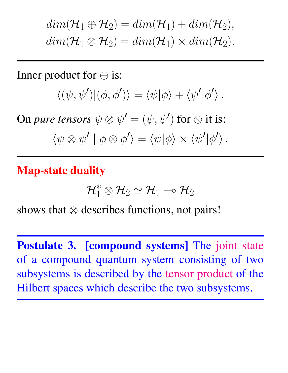$dim(\mathcal{H}_1\oplus \mathcal{H}_2)=dim(\mathcal{H}_1)+dim(\mathcal{H}_2),$  $dim({\cal H}_1\otimes{\cal H}_2)=dim({\cal H}_1)\times dim({\cal H}_2).$ 

Inner product for  $\oplus$  is:

$$
\langle (\psi, \psi') | (\phi, \phi') \rangle = \langle \psi | \phi \rangle + \langle \psi' | \phi' \rangle.
$$

On *pure tensors*  $\psi \otimes \psi' = (\psi, \psi')$  for  $\otimes$  it is:

 $\langle \psi \otimes \psi' | \phi \otimes \phi' \rangle = \langle \psi | \phi \rangle \times \langle \psi' | \phi' \rangle$ .

#### Map-state duality

$$
\mathcal{H}_1^*\otimes\mathcal{H}_2\simeq\mathcal{H}_1\rightharpoonup\mathcal{H}_2
$$

shows that  $\otimes$  describes functions, not pairs!

**Postulate 3. [compound systems]** The joint state of a compound quantum system consisting of two subsystems is described by the tensor product of the Hilbert spaces which describe the two subsystems.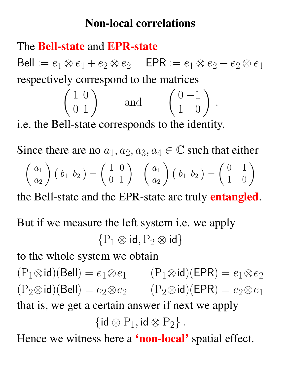### Non-local correlations

### The Bell-state and EPR-state

Bell :=  $e_1 \otimes e_1 + e_2 \otimes e_2$  EPR :=  $e_1 \otimes e_2 - e_2 \otimes e_1$ respectively correspond to the matrices

$$
\begin{pmatrix} 1 & 0 \ 0 & 1 \end{pmatrix} \text{ and } \begin{pmatrix} 0 & -1 \ 1 & 0 \end{pmatrix}
$$

.

i.e. the Bell-state corresponds to the identity.

Since there are no  $a_1, a_2, a_3, a_4 \in \mathbb{C}$  such that either  $\int a_1$  $a_2$  $\setminus$  $(b_1\; b_2)=$  $\left(\begin{array}{cc} 1 & 0 \\ 0 & 1 \end{array}\right) \quad \left(\begin{array}{c} a_1 \\ a_2 \end{array}\right)$  $\setminus$  $\left(\begin{array}{cc} b_1 & b_2 \end{array}\right) =$  $\left(\begin{array}{cc} 0 & -1 \\ 1 & 0 \end{array}\right)$ 

the Bell-state and the EPR-state are truly **entangled**.

But if we measure the left system i.e. we apply  ${P_1 \otimes id, P_2 \otimes id}$ 

to the whole system we obtain

 $(P_1 \otimes id)($ Bell $) = e_1 \otimes e_1$   $(P_1 \otimes id)($ EPR $) = e_1 \otimes e_2$  $(P_2 \otimes id)($ Bell $) = e_2 \otimes e_2$   $(P_2 \otimes id)($ EPR $) = e_2 \otimes e_1$ that is, we get a certain answer if next we apply  $\{ {\sf id} \otimes P_1, {\sf id} \otimes P_2 \}$  .

Hence we witness here a 'non-local' spatial effect.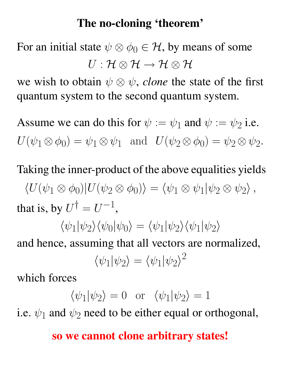#### The no-cloning 'theorem'

For an initial state  $\psi \otimes \phi_0 \in \mathcal{H}$ , by means of some  $U: \mathcal{H} \otimes \mathcal{H} \longrightarrow \mathcal{H} \otimes \mathcal{H}$ 

we wish to obtain  $\psi \otimes \psi$ , *clone* the state of the first quantum system to the second quantum system.

Assume we can do this for  $\psi := \psi_1$  and  $\psi := \psi_2$  i.e.  $U(\psi_1 \otimes \phi_0) = \psi_1 \otimes \psi_1$  and  $U(\psi_2 \otimes \phi_0) = \psi_2 \otimes \psi_2$ .

Taking the inner-product of the above equalities yields  $\langle U(\psi_1 \otimes \phi_0) | U(\psi_2 \otimes \phi_0) \rangle = \langle \psi_1 \otimes \psi_1 | \psi_2 \otimes \psi_2 \rangle$ , that is, by  $U^{\dagger} = U^{-1}$ ,

$$
\langle \psi_1 | \psi_2 \rangle \langle \psi_0 | \psi_0 \rangle = \langle \psi_1 | \psi_2 \rangle \langle \psi_1 | \psi_2 \rangle
$$

and hence, assuming that all vectors are normalized,

$$
\langle \psi_1 | \psi_2 \rangle = \langle \psi_1 | \psi_2 \rangle^2
$$

which forces

$$
\langle \psi_1 | \psi_2 \rangle = 0
$$
 or  $\langle \psi_1 | \psi_2 \rangle = 1$ 

i.e.  $\psi_1$  and  $\psi_2$  need to be either equal or orthogonal,

#### so we cannot clone arbitrary states!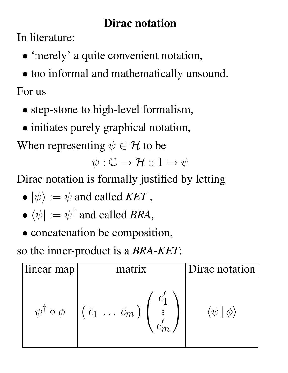# Dirac notation

In literature:

- 'merely' a quite convenient notation,
- too informal and mathematically unsound.

For us

- step-stone to high-level formalism,
- initiates purely graphical notation,

When representing  $\psi \in \mathcal{H}$  to be

 $\psi : \mathbb{C} \to \mathcal{H} :: 1 \mapsto \psi$ 

Dirac notation is formally justified by letting

- $\bullet \ket{\psi} := \psi$  and called *KET*,
- $\bullet$   $\langle \psi | := \psi^{\dagger}$  and called *BRA*,
- concatenation be composition,

so the inner-product is a *BRA-KET*:

| linear map                  | matrix                                                                       | Dirac notation |
|-----------------------------|------------------------------------------------------------------------------|----------------|
| $\psi^{\dagger} \circ \phi$ | $\left(\begin{array}{ccc} \bar{c}_1 & \ldots & \bar{c}_m \end{array}\right)$ |                |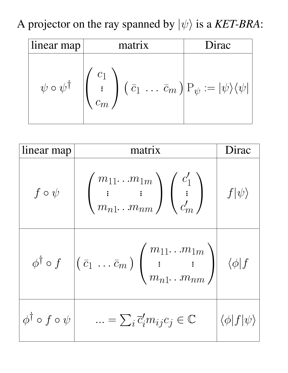A projector on the ray spanned by  $|\psi\rangle$  is a *KET-BRA*:

| linear map              | matrix                                                                                                                                                                                                                       | Dirac |
|-------------------------|------------------------------------------------------------------------------------------------------------------------------------------------------------------------------------------------------------------------------|-------|
| $\psi\circ\psi^\dagger$ | $\left\vert\left(\begin{array}{c}c_1\cr \vdots\cr\end{array}\right)\left(\begin{array}{c}\bar{c}_1\cr \cdots\cr\end{array}\bar{c}_m\right)\right\vert \mathrm{P}_\psi:=\vert\psi\rangle\langle\psi\vert\Big\vert$<br>$c_m$ . |       |

| linear map                          | matrix                                                                                                                                                                              | Dirac                             |
|-------------------------------------|-------------------------------------------------------------------------------------------------------------------------------------------------------------------------------------|-----------------------------------|
| $f \circ \psi$                      | $\begin{pmatrix} m_{11} \ldots m_{1m} \\ \vdots \end{pmatrix} \begin{pmatrix} c'_1 \\ \vdots \\ c'_m \end{pmatrix}$ $f \psi\rangle$                                                 |                                   |
|                                     | $\phi^{\dagger} \circ f \left[ (\bar{c}_1 \ldots \bar{c}_m) \begin{pmatrix} m_{11} \ldots m_{1m} \\ \vdots & \vdots \\ m_{n1} \ldots m_{nm} \end{pmatrix} \right] \langle \phi   f$ |                                   |
| $\phi^{\dagger} \circ f \circ \psi$ | $\ldots = \sum_i \overline{c}'_i m_{ij} c_j \in \mathbb{C}$                                                                                                                         | $\langle \phi   f   \psi \rangle$ |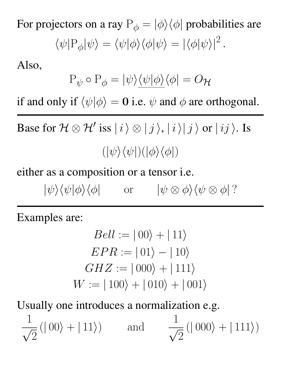For projectors on a ray  $P_{\phi} = |\phi\rangle\langle\phi|$  probabilities are

$$
\langle \psi | P_{\phi} | \psi \rangle = \langle \psi | \phi \rangle \langle \phi | \psi \rangle = | \langle \phi | \psi \rangle |^{2}.
$$

Also,

$$
\mathbf{P}_{\psi}\circ\mathbf{P}_{\phi}=|\psi\rangle\underline{\langle\psi|\phi\rangle}\langle\phi|=O_{\mathcal{H}}
$$

if and only if  $\langle \psi | \phi \rangle = 0$  i.e.  $\psi$  and  $\phi$  are orthogonal.

Base for  $\mathcal{H} \otimes \mathcal{H}'$  iss  $|i\rangle \otimes |j\rangle$ ,  $|i\rangle |j\rangle$  or  $|ij\rangle$ . Is  $(|\psi\rangle\langle\psi|)(|\phi\rangle\langle\phi|)$ 

either as a composition or a tensor i.e.

 $|\psi\rangle\langle\psi|\phi\rangle\langle\phi|$  or  $|\psi \otimes \phi\rangle\langle\psi \otimes \phi|$ ?

Examples are:

$$
Bell := |00\rangle + |11\rangle
$$
  

$$
EPR := |01\rangle - |10\rangle
$$
  

$$
GHZ := |000\rangle + |111\rangle
$$
  

$$
W := |100\rangle + |010\rangle + |001\rangle
$$

Usually one introduces a normalization e.g.

1  $\frac{1}{\sqrt{2}}$ 2  $(|00\rangle + |11\rangle)$  and  $\frac{1}{\sqrt{2}}$  $\frac{1}{\sqrt{2}}$ 2  $(|000\rangle + |111\rangle)$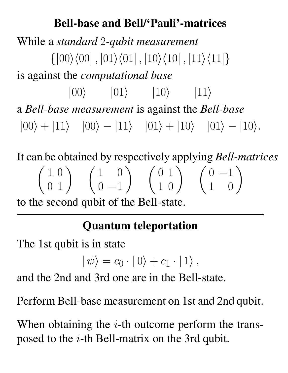### Bell-base and Bell/'Pauli'-matrices

While a *standard* 2*-qubit measurement*  $\{|00\rangle\langle00|$ ,  $|01\rangle\langle01|$ ,  $|10\rangle\langle10|$ ,  $|11\rangle\langle11|\}$ is against the *computational base*  $|00\rangle$   $|01\rangle$   $|10\rangle$   $|11\rangle$ a *Bell-base measurement* is against the *Bell-base*  $|00\rangle + |11\rangle$   $|00\rangle - |11\rangle$   $|01\rangle + |10\rangle$   $|01\rangle - |10\rangle$ .

It can be obtained by respectively applying *Bell-matrices*  $\left(\begin{array}{cc} 1 & 0 \\ 0 & 1 \end{array}\right) \quad \left(\begin{array}{cc} 1 & 0 \\ 0 & -1 \end{array}\right)$  $\left(\begin{array}{cc} 0 & 1 \\ 1 & 0 \end{array}\right) \left(\begin{array}{cc} 0 & -1 \\ 1 & 0 \end{array}\right)$ to the second qubit of the Bell-state.

# Quantum teleportation

The 1st qubit is in state

$$
|\psi\rangle = c_0 \cdot |0\rangle + c_1 \cdot |1\rangle ,
$$

and the 2nd and 3rd one are in the Bell-state.

Perform Bell-base measurement on 1st and 2nd qubit.

When obtaining the  $i$ -th outcome perform the transposed to the i-th Bell-matrix on the 3rd qubit.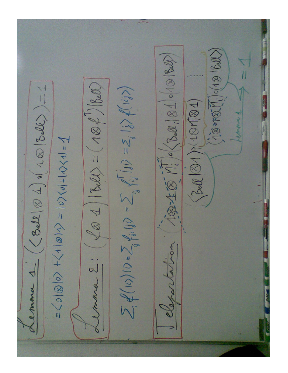$(18 \times 10^{10})$ TELE Mi / (Bell. 1810/10/1840)  $\left( \oint \otimes 1 | S d\mathcal{L} = (1 \otimes \mathcal{L}') | S d\mathcal{L} \right)$  $www. 4 (CBell & 4) o(10) [Bil) = 1$ </u>  $\sum_i \psi(i\lambda)(\rho \cdot \sum_{ij} \psi_{ii} |_{ij}\rangle = \sum_{ij} \psi_{ij}^{\dagger} |_{ij}\rangle = Z_{ij} |_{ij}\rangle \psi(i\omega)\rangle$  $\mathcal{B}(\mathbb{Q}|\mathcal{D})$  (10/201  $\overline{V} = (V^{1/2}V^{1/2})^{1/2} = (V^{1/8}V^{1/2}) + (0/8)^{1/2} =$ classartation. monse 2.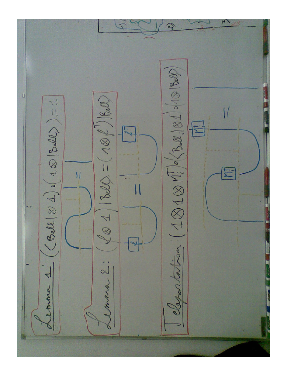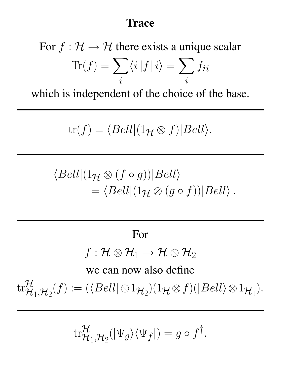#### **Trace**

For  $f : \mathcal{H} \to \mathcal{H}$  there exists a unique scalar  $\text{Tr}(f) = \sum$ i  $\langle i|f|i\rangle = \sum$ i  $f_{ii}$ 

which is independent of the choice of the base.

$$
\mathrm{tr}(f) = \langle Bell|(1_{\mathcal{H}} \otimes f)|Bell\rangle.
$$

$$
\langle Bell|(1_{\mathcal{H}}\otimes (f\circ g))|Bell\rangle = \langle Bell|(1_{\mathcal{H}}\otimes (g\circ f))|Bell\rangle.
$$

#### For

# $f: \mathcal{H} \otimes \mathcal{H}_1 \rightarrow \mathcal{H} \otimes \mathcal{H}_2$

we can now also define

 $\mathrm{tr} \frac{\mathcal{H}}{\mathcal{H}}$  $\mathcal{H}_1, \mathcal{H}_2(f) := (\langle Bell| \otimes 1_{\mathcal{H}_2})(1_{\mathcal{H}} \otimes f)(|Bell\rangle \otimes 1_{\mathcal{H}_1}).$ 

$$
\mathrm{tr}^{\mathcal{H}}_{\mathcal{H}_1, \mathcal{H}_2}(|\Psi_g\rangle\langle\Psi_f|) = g \circ f^{\dagger}.
$$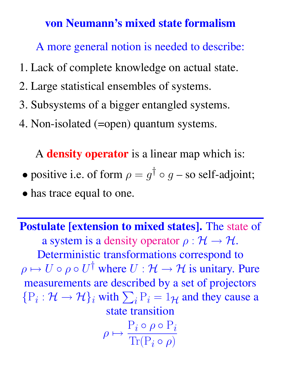#### von Neumann's mixed state formalism

A more general notion is needed to describe:

- 1. Lack of complete knowledge on actual state.
- 2. Large statistical ensembles of systems.
- 3. Subsystems of a bigger entangled systems.
- 4. Non-isolated (=open) quantum systems.

A **density operator** is a linear map which is:

- positive i.e. of form  $\rho = g^{\dagger} \circ g$  so self-adjoint;
- has trace equal to one.

Postulate [extension to mixed states]. The state of a system is a density operator  $\rho : \mathcal{H} \to \mathcal{H}$ . Deterministic transformations correspond to  $\rho \mapsto U \circ \rho \circ U^{\dagger}$  where  $U : \mathcal{H} \to \mathcal{H}$  is unitary. Pure measurements are described by a set of projectors  $\{P_i : \mathcal{H} \to \mathcal{H}\}_i$  with  $\sum_i P_i = 1_{\mathcal{H}}$  and they cause a state transition

$$
\rho \mapsto \frac{\mathcal{P}_i \circ \rho \circ \mathcal{P}_i}{\text{Tr}(\mathcal{P}_i \circ \rho)}
$$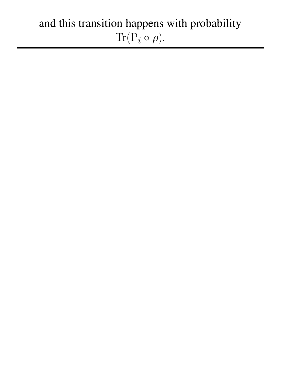# and this transition happens with probability  $\text{Tr}(\mathbf{P}_i \circ \rho).$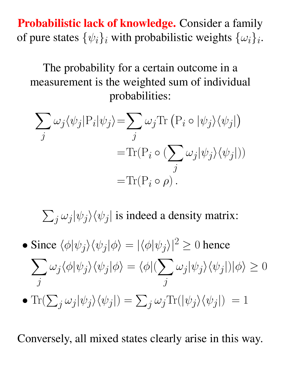Probabilistic lack of knowledge. Consider a family of pure states  $\{\psi_i\}_i$  with probabilistic weights  $\{\omega_i\}_i$ .

The probability for a certain outcome in a measurement is the weighted sum of individual probabilities:

$$
\sum_{j} \omega_{j} \langle \psi_{j} | P_{i} | \psi_{j} \rangle = \sum_{j} \omega_{j} \text{Tr} (P_{i} \circ | \psi_{j} \rangle \langle \psi_{j} |)
$$

$$
= \text{Tr} (P_{i} \circ (\sum_{j} \omega_{j} | \psi_{j} \rangle \langle \psi_{j} |))
$$

$$
= \text{Tr} (P_{i} \circ \rho).
$$

 $\sum_j \omega_j |\psi_j\rangle \langle \psi_j|$  is indeed a density matrix:

• Since  $\langle \phi | \psi_j \rangle \langle \psi_j | \phi \rangle = | \langle \phi | \psi_j \rangle |^2 \ge 0$  hence  $\sum$  $\dot{j}$  $\omega_j \langle \phi | \psi_j \rangle \langle \psi_j | \phi \rangle = \langle \phi | (\sum)$  $\dot{j}$  $\omega_j|\psi_j\rangle\langle\psi_j|)|\phi\rangle\geq 0$ • Tr $(\sum_j \omega_j |\psi_j\rangle \langle \psi_j|) = \sum_j \omega_j \text{Tr}(|\psi_j\rangle \langle \psi_j|) = 1$ 

Conversely, all mixed states clearly arise in this way.